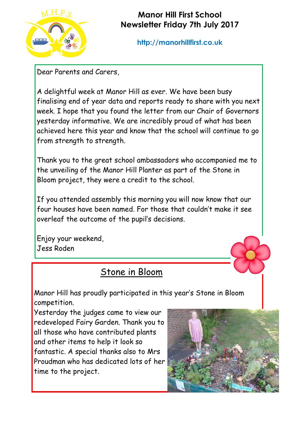

# **Manor Hill First School Newsletter Friday 7th July 2017**

**http://manorhillfirst.co.uk**

Dear Parents and Carers,

A delightful week at Manor Hill as ever. We have been busy finalising end of year data and reports ready to share with you next week. I hope that you found the letter from our Chair of Governors yesterday informative. We are incredibly proud of what has been achieved here this year and know that the school will continue to go from strength to strength.

Thank you to the great school ambassadors who accompanied me to the unveiling of the Manor Hill Planter as part of the Stone in Bloom project, they were a credit to the school.

If you attended assembly this morning you will now know that our four houses have been named. For those that couldn't make it see overleaf the outcome of the pupil's decisions.

Enjoy your weekend, Jess Roden

# Stone in Bloom

Manor Hill has proudly participated in this year's Stone in Bloom competition.

Yesterday the judges came to view our redeveloped Fairy Garden. Thank you to all those who have contributed plants and other items to help it look so fantastic. A special thanks also to Mrs Proudman who has dedicated lots of her time to the project.